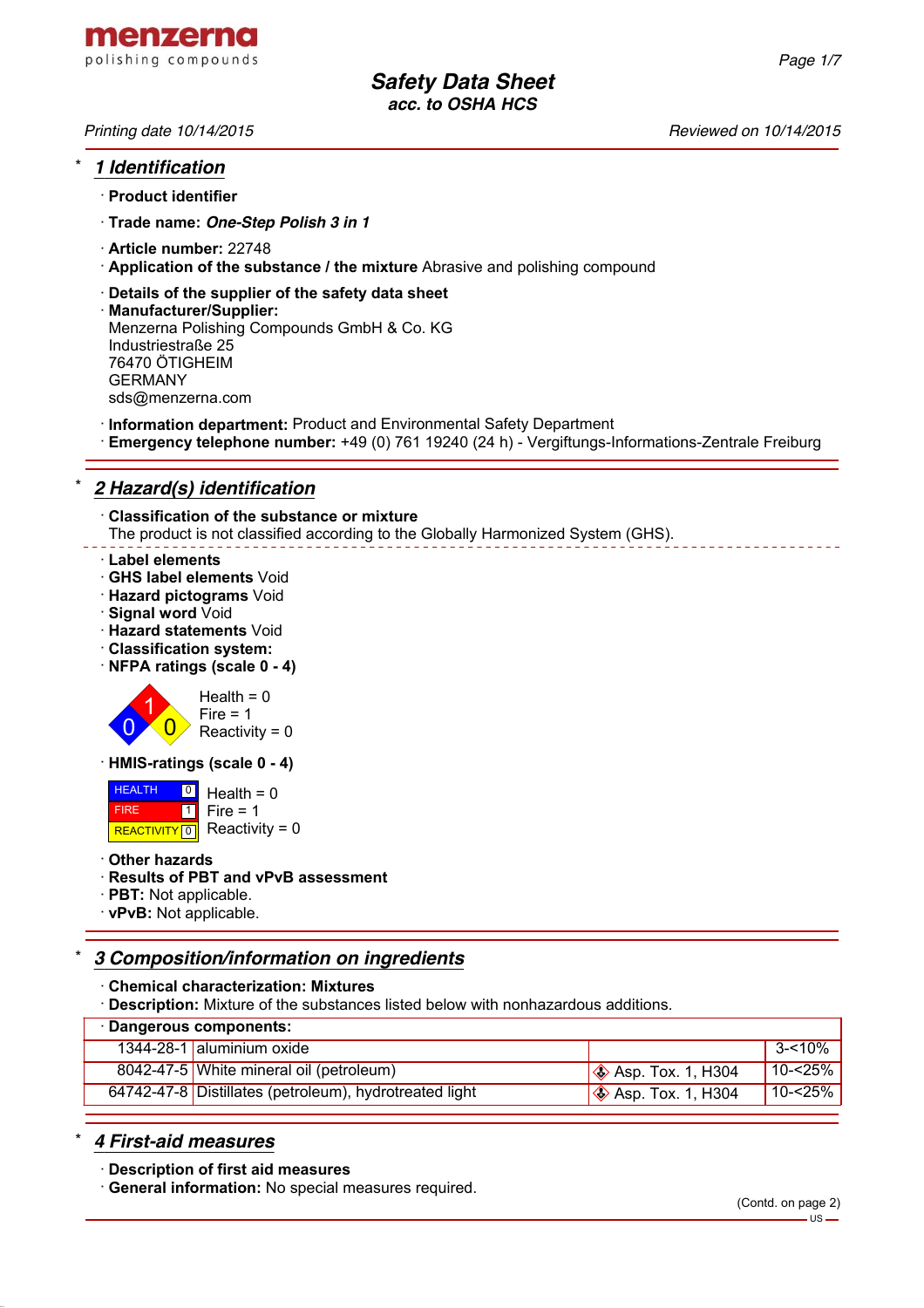

*Printing date 10/14/2015 Reviewed on 10/14/2015*

## \* *1 Identification*

- · **Product identifier**
- · **Trade name:** *One-Step Polish 3 in 1*
- · **Article number:** 22748
- · **Application of the substance / the mixture** Abrasive and polishing compound
- · **Details of the supplier of the safety data sheet**
- · **Manufacturer/Supplier:** Menzerna Polishing Compounds GmbH & Co. KG Industriestraße 25 76470 ÖTIGHEIM GERMANY sds@menzerna.com
- · **Information department:** Product and Environmental Safety Department
- · **Emergency telephone number:** +49 (0) 761 19240 (24 h) Vergiftungs-Informations-Zentrale Freiburg

# \* *2 Hazard(s) identification*

· **Classification of the substance or mixture** The product is not classified according to the Globally Harmonized System (GHS).

### · **Label elements**

- · **GHS label elements** Void
- · **Hazard pictograms** Void
- · **Signal word** Void
- · **Hazard statements** Void
- · **Classification system:**
- · **NFPA ratings (scale 0 4)**



 $Fire = 1$ Reactivity  $= 0$ 

· **HMIS-ratings (scale 0 - 4)**

 HEALTH FIRE REACTIVITY  $\boxed{0}$  Reactivity = 0 <mark>의</mark> Health = 0  $\overline{1}$  $Fire = 1$ 

· **Other hazards**

### · **Results of PBT and vPvB assessment**

- · **PBT:** Not applicable.
- · **vPvB:** Not applicable.

# \* *3 Composition/information on ingredients*

- · **Chemical characterization: Mixtures**
- · **Description:** Mixture of the substances listed below with nonhazardous additions.

| · Dangerous components:                                                               |            |  |
|---------------------------------------------------------------------------------------|------------|--|
| 1344-28-1 aluminium oxide                                                             | 3-<10%     |  |
| 8042-47-5 White mineral oil (petroleum)<br>$\otimes$ Asp. Tox. 1, H304                | 10-<25%    |  |
| 64742-47-8 Distillates (petroleum), hydrotreated light<br>$\otimes$ Asp. Tox. 1, H304 | $10 - 25%$ |  |

### \* *4 First-aid measures*

· **Description of first aid measures**

· **General information:** No special measures required.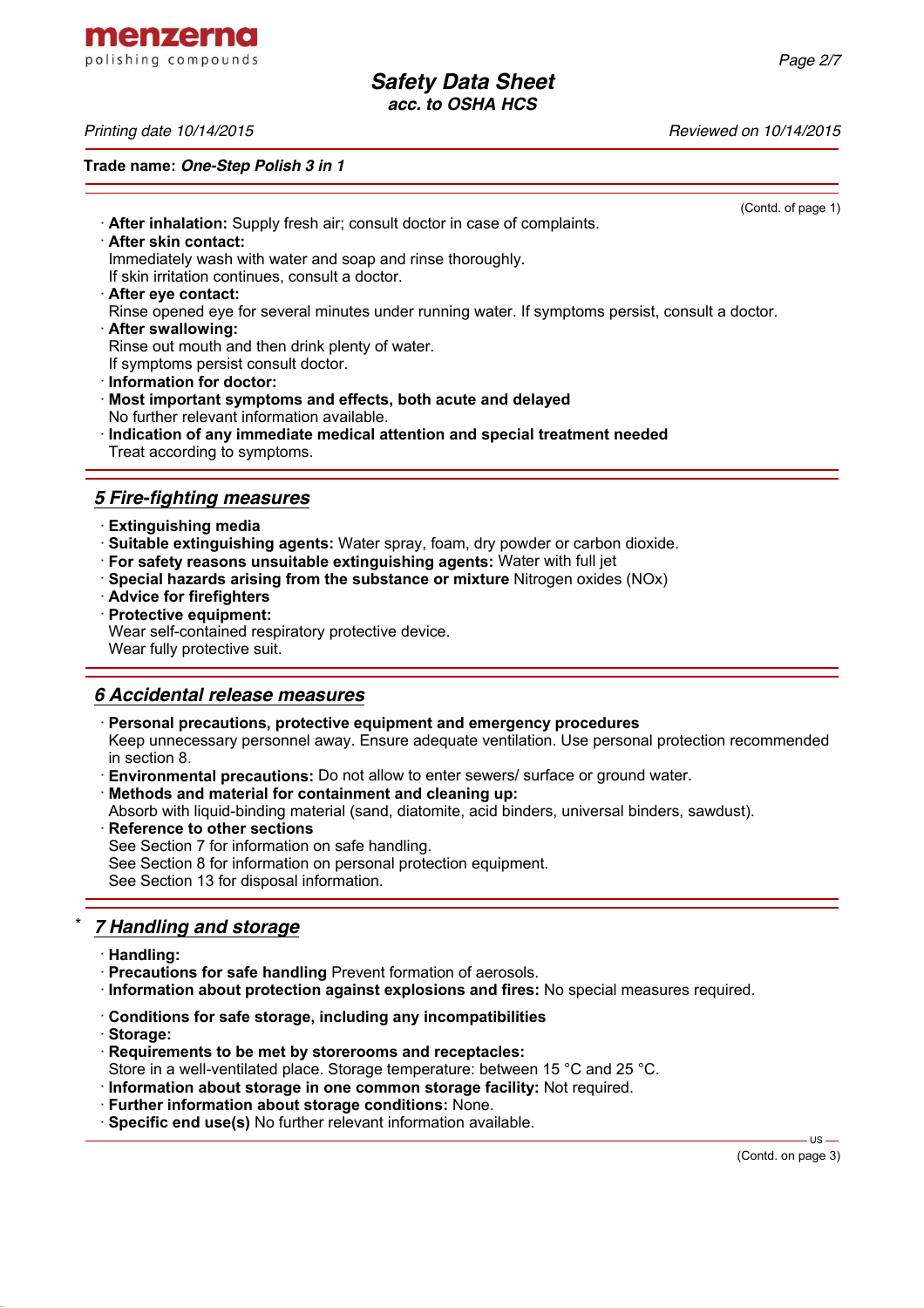menzerna polishing compounds

*Printing date 10/14/2015 Reviewed on 10/14/2015*

**Trade name:** *One-Step Polish 3 in 1*

(Contd. of page 1) · **After inhalation:** Supply fresh air; consult doctor in case of complaints. · **After skin contact:** Immediately wash with water and soap and rinse thoroughly. If skin irritation continues, consult a doctor. · **After eye contact:** Rinse opened eye for several minutes under running water. If symptoms persist, consult a doctor. · **After swallowing:** Rinse out mouth and then drink plenty of water. If symptoms persist consult doctor. · **Information for doctor:** · **Most important symptoms and effects, both acute and delayed** No further relevant information available. · **Indication of any immediate medical attention and special treatment needed** Treat according to symptoms. *5 Fire-fighting measures* · **Extinguishing media** · **Suitable extinguishing agents:** Water spray, foam, dry powder or carbon dioxide. · **For safety reasons unsuitable extinguishing agents:** Water with full jet · **Special hazards arising from the substance or mixture** Nitrogen oxides (NOx)

- · **Advice for firefighters**
- · **Protective equipment:**

Wear self-contained respiratory protective device.

Wear fully protective suit.

### *6 Accidental release measures*

· **Personal precautions, protective equipment and emergency procedures**

Keep unnecessary personnel away. Ensure adequate ventilation. Use personal protection recommended in section 8.

- · **Environmental precautions:** Do not allow to enter sewers/ surface or ground water.
- · **Methods and material for containment and cleaning up:**
- Absorb with liquid-binding material (sand, diatomite, acid binders, universal binders, sawdust).
- **Reference to other sections**

See Section 7 for information on safe handling.

See Section 8 for information on personal protection equipment.

See Section 13 for disposal information.

## \* *7 Handling and storage*

- · **Handling:**
- · **Precautions for safe handling** Prevent formation of aerosols.
- · **Information about protection against explosions and fires:** No special measures required.
- · **Conditions for safe storage, including any incompatibilities**
- · **Storage:**
- · **Requirements to be met by storerooms and receptacles:**
- Store in a well-ventilated place. Storage temperature: between 15 °C and 25 °C.
- · **Information about storage in one common storage facility:** Not required.
- · **Further information about storage conditions:** None.
- · **Specific end use(s)** No further relevant information available.

(Contd. on page 3)

 $HSS -$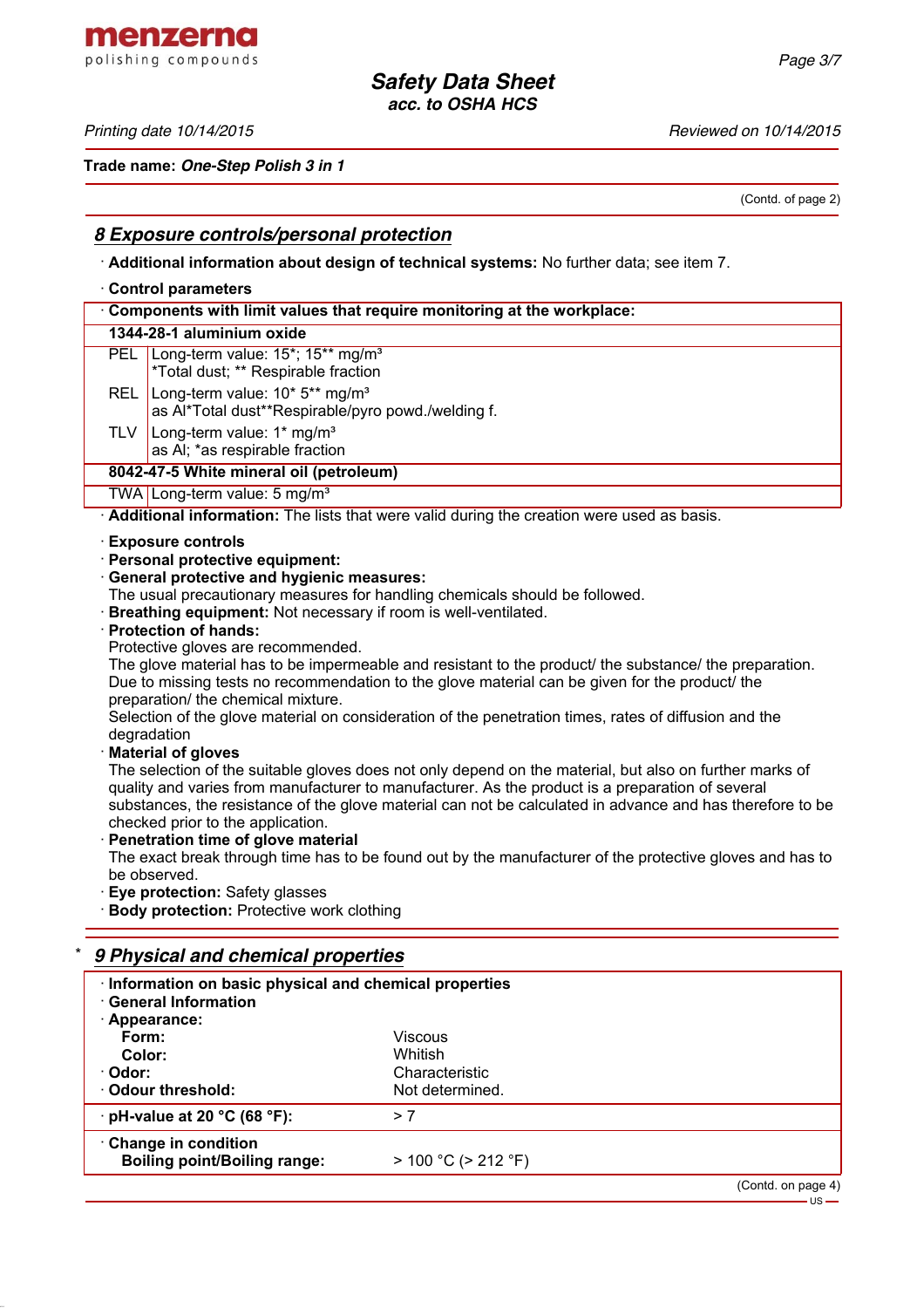menzerna polishing compounds

*Printing date 10/14/2015 Reviewed on 10/14/2015*

**Trade name:** *One-Step Polish 3 in 1*

(Contd. of page 2)

### *8 Exposure controls/personal protection*

· **Additional information about design of technical systems:** No further data; see item 7.

#### · **Control parameters**

| Components with limit values that require monitoring at the workplace:                                           |  |  |
|------------------------------------------------------------------------------------------------------------------|--|--|
| 1344-28-1 aluminium oxide                                                                                        |  |  |
| PEL Long-term value: 15 <sup>*</sup> ; 15 <sup>**</sup> mg/m <sup>3</sup><br>*Total dust; ** Respirable fraction |  |  |
| REL Long-term value: 10* 5** mg/m <sup>3</sup><br>as Al*Total dust**Respirable/pyro powd./welding f.             |  |  |
| TLV   Long-term value: $1*$ mg/m <sup>3</sup><br>as AI; *as respirable fraction                                  |  |  |
| 8042-47-5 White mineral oil (petroleum)                                                                          |  |  |
| TWA Long-term value: 5 mg/m <sup>3</sup>                                                                         |  |  |
|                                                                                                                  |  |  |

· **Additional information:** The lists that were valid during the creation were used as basis.

- · **Exposure controls**
- · **Personal protective equipment:**
- · **General protective and hygienic measures:**
- The usual precautionary measures for handling chemicals should be followed.
- · **Breathing equipment:** Not necessary if room is well-ventilated.
- · **Protection of hands:**
- Protective gloves are recommended.

The glove material has to be impermeable and resistant to the product/ the substance/ the preparation. Due to missing tests no recommendation to the glove material can be given for the product/ the preparation/ the chemical mixture.

Selection of the glove material on consideration of the penetration times, rates of diffusion and the degradation

· **Material of gloves**

The selection of the suitable gloves does not only depend on the material, but also on further marks of quality and varies from manufacturer to manufacturer. As the product is a preparation of several substances, the resistance of the glove material can not be calculated in advance and has therefore to be checked prior to the application.

**Penetration time of glove material** 

The exact break through time has to be found out by the manufacturer of the protective gloves and has to be observed.

· **Eye protection:** Safety glasses

· **Body protection:** Protective work clothing

### \* *9 Physical and chemical properties*

| Information on basic physical and chemical properties<br><b>General Information</b> |                           |                    |  |
|-------------------------------------------------------------------------------------|---------------------------|--------------------|--|
| · Appearance:                                                                       |                           |                    |  |
| Form:                                                                               | <b>Viscous</b>            |                    |  |
| Color:                                                                              | Whitish                   |                    |  |
| · Odor:                                                                             | Characteristic            |                    |  |
| Odour threshold:                                                                    | Not determined.           |                    |  |
| $\cdot$ pH-value at 20 °C (68 °F):                                                  | > 7                       |                    |  |
| Change in condition                                                                 |                           |                    |  |
| <b>Boiling point/Boiling range:</b>                                                 | $> 100 °C$ ( $> 212 °F$ ) |                    |  |
|                                                                                     |                           | (Contd. on page 4) |  |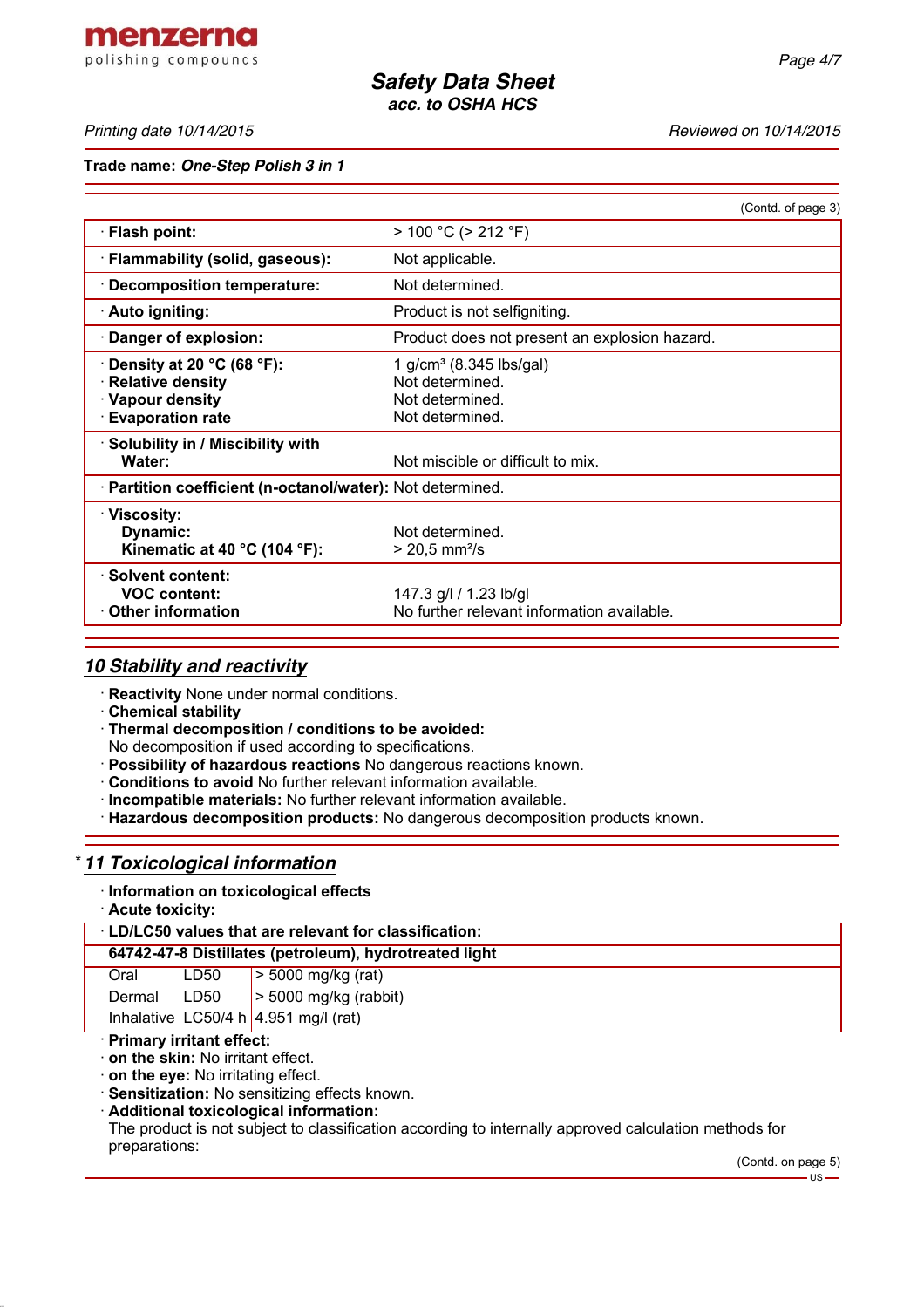menzerna polishing compounds

*Printing date 10/14/2015 Reviewed on 10/14/2015*

**Trade name:** *One-Step Polish 3 in 1*

|                                                                                                                         | (Contd. of page 3)                                                                           |
|-------------------------------------------------------------------------------------------------------------------------|----------------------------------------------------------------------------------------------|
| · Flash point:                                                                                                          | $> 100 °C$ ( $> 212 °F$ )                                                                    |
| · Flammability (solid, gaseous):                                                                                        | Not applicable.                                                                              |
| <b>Decomposition temperature:</b>                                                                                       | Not determined.                                                                              |
| · Auto igniting:                                                                                                        | Product is not selfigniting.                                                                 |
| Danger of explosion:                                                                                                    | Product does not present an explosion hazard.                                                |
| Density at 20 $^{\circ}$ C (68 $^{\circ}$ F):<br><b>Relative density</b><br>· Vapour density<br><b>Evaporation rate</b> | 1 g/cm <sup>3</sup> (8.345 lbs/gal)<br>Not determined.<br>Not determined.<br>Not determined. |
| · Solubility in / Miscibility with<br>Water:                                                                            | Not miscible or difficult to mix.                                                            |
| · Partition coefficient (n-octanol/water): Not determined.                                                              |                                                                                              |
| · Viscosity:<br>Dynamic:<br>Kinematic at 40 $^{\circ}$ C (104 $^{\circ}$ F):                                            | Not determined.<br>$> 20.5$ mm <sup>2</sup> /s                                               |
| · Solvent content:<br><b>VOC content:</b><br>$\cdot$ Other information                                                  | 147.3 g/l / 1.23 lb/gl<br>No further relevant information available.                         |

### *10 Stability and reactivity*

- · **Reactivity** None under normal conditions.
- · **Chemical stability**
- · **Thermal decomposition / conditions to be avoided:**
- No decomposition if used according to specifications.
- · **Possibility of hazardous reactions** No dangerous reactions known.
- · **Conditions to avoid** No further relevant information available.
- · **Incompatible materials:** No further relevant information available.
- · **Hazardous decomposition products:** No dangerous decomposition products known.

### \* *11 Toxicological information*

#### · **Information on toxicological effects**

· **Acute toxicity:**

| <b>LD/LC50 values that are relevant for classification:</b> |
|-------------------------------------------------------------|
|-------------------------------------------------------------|

| 64742-47-8 Distillates (petroleum), hydrotreated light |  |
|--------------------------------------------------------|--|
|                                                        |  |

| Oral          | LD50 | $\geq 5000$ mg/kg (rat)                |
|---------------|------|----------------------------------------|
| Dermal   LD50 |      | $\vert$ > 5000 mg/kg (rabbit)          |
|               |      | Inhalative LC50/4 h $4.951$ mg/l (rat) |

#### · **Primary irritant effect:**

- · **on the skin:** No irritant effect.
- · **on the eye:** No irritating effect.
- · **Sensitization:** No sensitizing effects known.
- · **Additional toxicological information:**

The product is not subject to classification according to internally approved calculation methods for preparations:

(Contd. on page 5)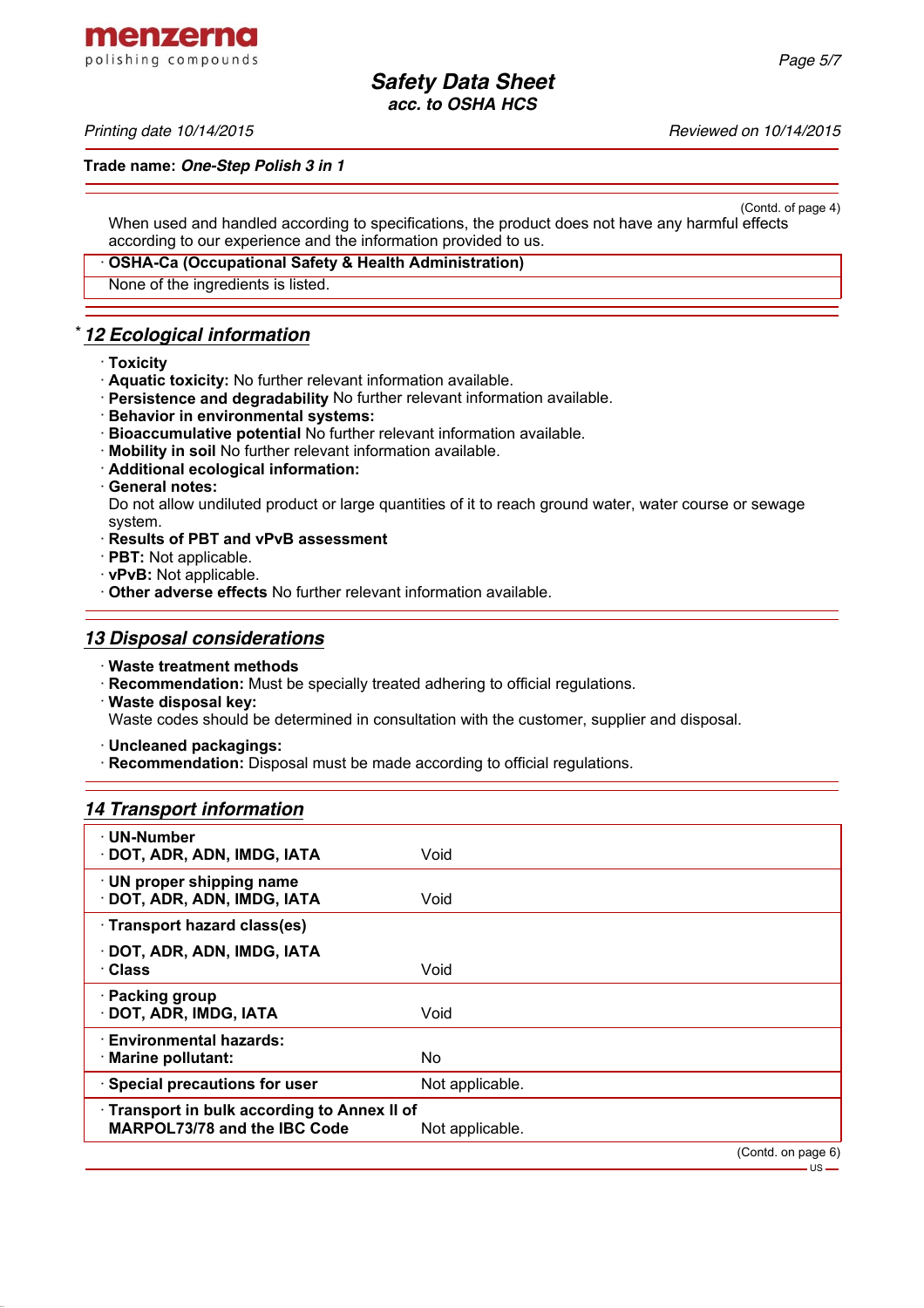menzerna polishing compounds

*Printing date 10/14/2015 Reviewed on 10/14/2015*

**Trade name:** *One-Step Polish 3 in 1*

(Contd. of page 4) When used and handled according to specifications, the product does not have any harmful effects according to our experience and the information provided to us.

· **OSHA-Ca (Occupational Safety & Health Administration)**

None of the ingredients is listed.

## \* *12 Ecological information*

- · **Toxicity**
- · **Aquatic toxicity:** No further relevant information available.
- · **Persistence and degradability** No further relevant information available.
- · **Behavior in environmental systems:**
- · **Bioaccumulative potential** No further relevant information available.
- · **Mobility in soil** No further relevant information available.
- · **Additional ecological information:**
- · **General notes:**

Do not allow undiluted product or large quantities of it to reach ground water, water course or sewage system.

- · **Results of PBT and vPvB assessment**
- · **PBT:** Not applicable.
- · **vPvB:** Not applicable.
- · **Other adverse effects** No further relevant information available.

### *13 Disposal considerations*

- · **Waste treatment methods**
- · **Recommendation:** Must be specially treated adhering to official regulations.
- · **Waste disposal key:**

Waste codes should be determined in consultation with the customer, supplier and disposal.

· **Uncleaned packagings:**

· **Recommendation:** Disposal must be made according to official regulations.

### *14 Transport information*

| · UN-Number<br>· DOT, ADR, ADN, IMDG, IATA                                          | Void            |                    |
|-------------------------------------------------------------------------------------|-----------------|--------------------|
| · UN proper shipping name<br>· DOT, ADR, ADN, IMDG, IATA                            | Void            |                    |
| · Transport hazard class(es)                                                        |                 |                    |
| · DOT, ADR, ADN, IMDG, IATA<br>· Class                                              | Void            |                    |
| · Packing group<br>· DOT, ADR, IMDG, IATA                                           | Void            |                    |
| <b>Environmental hazards:</b><br>· Marine pollutant:                                | No.             |                    |
| · Special precautions for user                                                      | Not applicable. |                    |
| · Transport in bulk according to Annex II of<br><b>MARPOL73/78 and the IBC Code</b> | Not applicable. |                    |
|                                                                                     |                 | (Contd. on page 6) |

 $-1.5$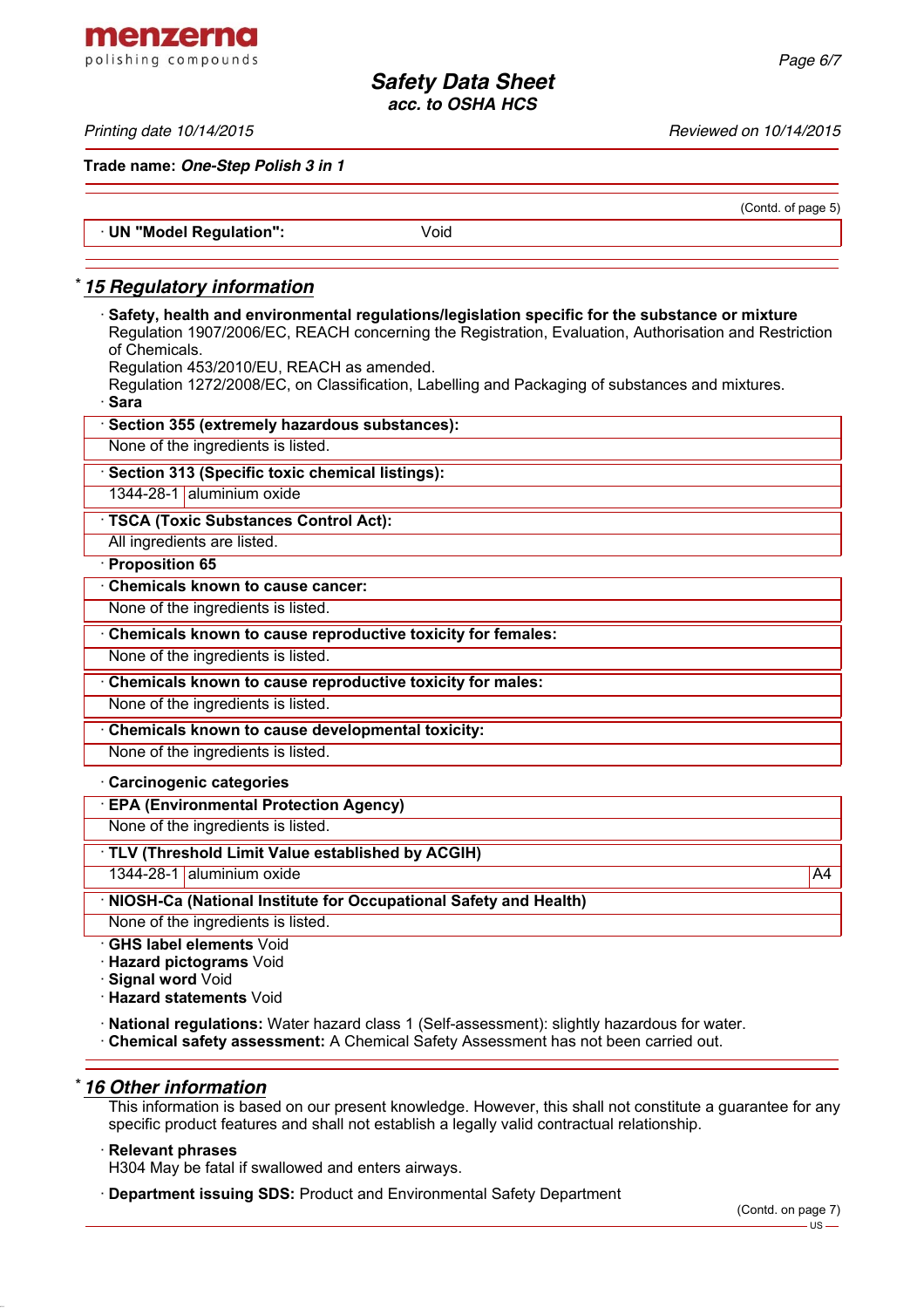(Contd. of page 5)

*Safety Data Sheet acc. to OSHA HCS*

*Printing date 10/14/2015 Reviewed on 10/14/2015*

menzerna polishing compounds

**Trade name:** *One-Step Polish 3 in 1*

· **UN "Model Regulation":** Void

## \* *15 Regulatory information*

· **Safety, health and environmental regulations/legislation specific for the substance or mixture** Regulation 1907/2006/EC, REACH concerning the Registration, Evaluation, Authorisation and Restriction of Chemicals.

Regulation 453/2010/EU, REACH as amended.

Regulation 1272/2008/EC, on Classification, Labelling and Packaging of substances and mixtures. · **Sara**

| Section 355 (extremely hazardous substances):                    |
|------------------------------------------------------------------|
| None of the ingredients is listed.                               |
| Section 313 (Specific toxic chemical listings):                  |
| 1344-28-1 aluminium oxide                                        |
| <b>TSCA (Toxic Substances Control Act):</b>                      |
| All ingredients are listed.                                      |
| Proposition 65                                                   |
| <b>Chemicals known to cause cancer:</b>                          |
| None of the ingredients is listed.                               |
| Chemicals known to cause reproductive toxicity for females:      |
| None of the ingredients is listed.                               |
| Chemicals known to cause reproductive toxicity for males:        |
| None of the ingredients is listed.                               |
| Chemicals known to cause developmental toxicity:                 |
| None of the ingredients is listed.                               |
| · Carcinogenic categories                                        |
| <b>EPA (Environmental Protection Agency)</b>                     |
| None of the ingredients is listed.                               |
| TLV (Threshold Limit Value established by ACGIH)                 |
| 1344-28-1 aluminium oxide<br>A4                                  |
| NIOSH-Ca (National Institute for Occupational Safety and Health) |
| None of the ingredients is listed.                               |
| <b>GHS label elements Void</b>                                   |
| <b>Hazard pictograms Void</b>                                    |
| Signal word Void<br>Hazard etatomonte Void                       |

· **Hazard statements** Void

· **National regulations:** Water hazard class 1 (Self-assessment): slightly hazardous for water.

· **Chemical safety assessment:** A Chemical Safety Assessment has not been carried out.

### \* *16 Other information*

This information is based on our present knowledge. However, this shall not constitute a guarantee for any specific product features and shall not establish a legally valid contractual relationship.

### · **Relevant phrases**

H304 May be fatal if swallowed and enters airways.

· **Department issuing SDS:** Product and Environmental Safety Department